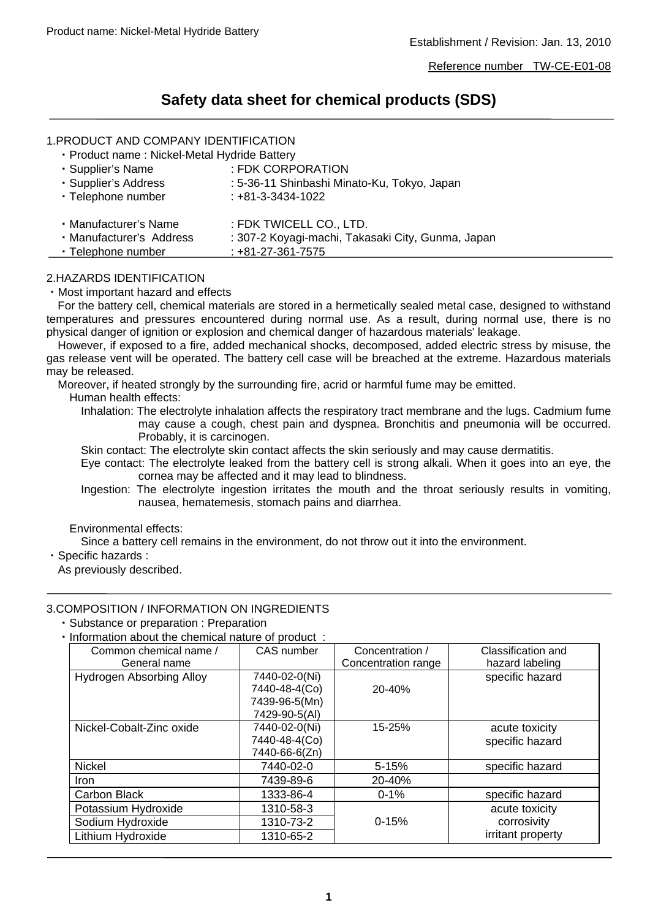# **Safety data sheet for chemical products (SDS)**

# 1.PRODUCT AND COMPANY IDENTIFICATION

・Product name : Nickel-Metal Hydride Battery

| · Supplier's Name        | : FDK CORPORATION                                 |
|--------------------------|---------------------------------------------------|
| · Supplier's Address     | : 5-36-11 Shinbashi Minato-Ku, Tokyo, Japan       |
| · Telephone number       | $: +81 - 3 - 3434 - 1022$                         |
|                          |                                                   |
| · Manufacturer's Name    | : FDK TWICELL CO., LTD.                           |
| · Manufacturer's Address | : 307-2 Koyagi-machi, Takasaki City, Gunma, Japan |
| • Telephone number       | $: +81 - 27 - 361 - 7575$                         |

## 2.HAZARDS IDENTIFICATION

・Most important hazard and effects

For the battery cell, chemical materials are stored in a hermetically sealed metal case, designed to withstand temperatures and pressures encountered during normal use. As a result, during normal use, there is no physical danger of ignition or explosion and chemical danger of hazardous materials' leakage.

However, if exposed to a fire, added mechanical shocks, decomposed, added electric stress by misuse, the gas release vent will be operated. The battery cell case will be breached at the extreme. Hazardous materials may be released.

Moreover, if heated strongly by the surrounding fire, acrid or harmful fume may be emitted.

Human health effects:

Inhalation: The electrolyte inhalation affects the respiratory tract membrane and the lugs. Cadmium fume may cause a cough, chest pain and dyspnea. Bronchitis and pneumonia will be occurred. Probably, it is carcinogen.

Skin contact: The electrolyte skin contact affects the skin seriously and may cause dermatitis.

Eye contact: The electrolyte leaked from the battery cell is strong alkali. When it goes into an eye, the cornea may be affected and it may lead to blindness.

Ingestion: The electrolyte ingestion irritates the mouth and the throat seriously results in vomiting, nausea, hematemesis, stomach pains and diarrhea.

#### Environmental effects:

Since a battery cell remains in the environment, do not throw out it into the environment.

・Specific hazards :

As previously described.

# 3.COMPOSITION / INFORMATION ON INGREDIENTS

・Substance or preparation : Preparation

・Information about the chemical nature of product :

| Common chemical name /   | CAS number    | Concentration /     | Classification and |
|--------------------------|---------------|---------------------|--------------------|
| General name             |               | Concentration range | hazard labeling    |
| Hydrogen Absorbing Alloy | 7440-02-0(Ni) |                     | specific hazard    |
|                          | 7440-48-4(Co) | 20-40%              |                    |
|                          | 7439-96-5(Mn) |                     |                    |
|                          | 7429-90-5(AI) |                     |                    |
| Nickel-Cobalt-Zinc oxide | 7440-02-0(Ni) | 15-25%              | acute toxicity     |
|                          | 7440-48-4(Co) |                     | specific hazard    |
|                          | 7440-66-6(Zn) |                     |                    |
| <b>Nickel</b>            | 7440-02-0     | $5 - 15%$           | specific hazard    |
| <b>Iron</b>              | 7439-89-6     | 20-40%              |                    |
| Carbon Black             | 1333-86-4     | $0 - 1%$            | specific hazard    |
| Potassium Hydroxide      | 1310-58-3     |                     | acute toxicity     |
| Sodium Hydroxide         | 1310-73-2     | $0 - 15%$           | corrosivity        |
| Lithium Hydroxide        | 1310-65-2     |                     | irritant property  |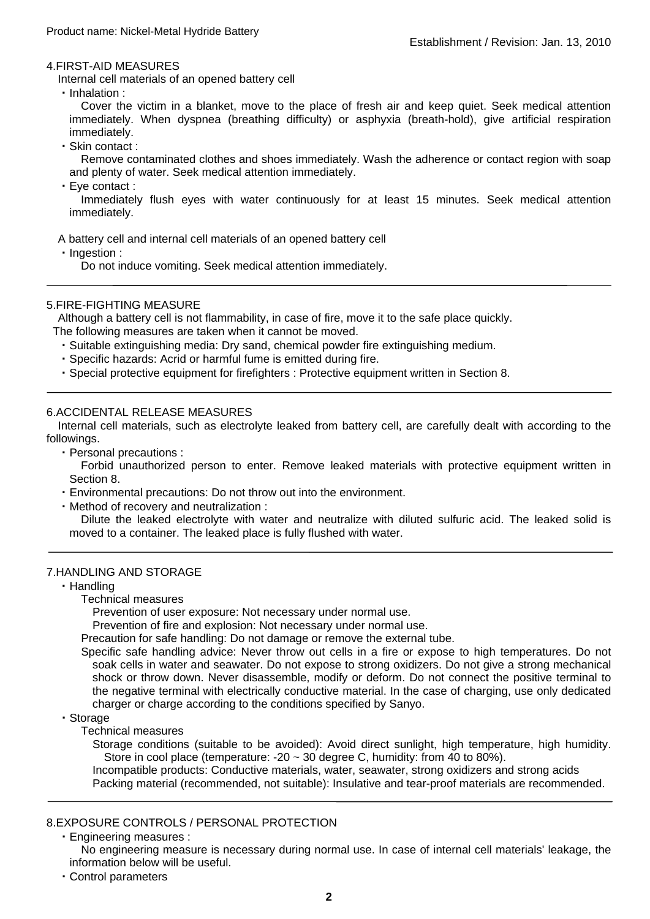#### 4.FIRST-AID MEASURES

Internal cell materials of an opened battery cell

・Inhalation :

Cover the victim in a blanket, move to the place of fresh air and keep quiet. Seek medical attention immediately. When dyspnea (breathing difficulty) or asphyxia (breath-hold), give artificial respiration immediately.

・Skin contact :

Remove contaminated clothes and shoes immediately. Wash the adherence or contact region with soap and plenty of water. Seek medical attention immediately.

・Eye contact :

Immediately flush eyes with water continuously for at least 15 minutes. Seek medical attention immediately.

A battery cell and internal cell materials of an opened battery cell

・Ingestion :

Do not induce vomiting. Seek medical attention immediately.

## 5.FIRE-FIGHTING MEASURE

Although a battery cell is not flammability, in case of fire, move it to the safe place quickly.

- The following measures are taken when it cannot be moved.
	- ・Suitable extinguishing media: Dry sand, chemical powder fire extinguishing medium.
	- ・Specific hazards: Acrid or harmful fume is emitted during fire.
	- ・Special protective equipment for firefighters : Protective equipment written in Section 8.

## 6.ACCIDENTAL RELEASE MEASURES

Internal cell materials, such as electrolyte leaked from battery cell, are carefully dealt with according to the followings.

・Personal precautions :

Forbid unauthorized person to enter. Remove leaked materials with protective equipment written in Section 8.

- ・Environmental precautions: Do not throw out into the environment.
- ・Method of recovery and neutralization :

Dilute the leaked electrolyte with water and neutralize with diluted sulfuric acid. The leaked solid is moved to a container. The leaked place is fully flushed with water.

#### 7.HANDLING AND STORAGE

- ・Handling
	- Technical measures

Prevention of user exposure: Not necessary under normal use.

Prevention of fire and explosion: Not necessary under normal use.

Precaution for safe handling: Do not damage or remove the external tube.

Specific safe handling advice: Never throw out cells in a fire or expose to high temperatures. Do not soak cells in water and seawater. Do not expose to strong oxidizers. Do not give a strong mechanical shock or throw down. Never disassemble, modify or deform. Do not connect the positive terminal to the negative terminal with electrically conductive material. In the case of charging, use only dedicated charger or charge according to the conditions specified by Sanyo.

- ・Storage
	- Technical measures

Storage conditions (suitable to be avoided): Avoid direct sunlight, high temperature, high humidity. Store in cool place (temperature: -20  $\sim$  30 degree C, humidity: from 40 to 80%).

Incompatible products: Conductive materials, water, seawater, strong oxidizers and strong acids Packing material (recommended, not suitable): Insulative and tear-proof materials are recommended.

## 8.EXPOSURE CONTROLS / PERSONAL PROTECTION

・Engineering measures :

No engineering measure is necessary during normal use. In case of internal cell materials' leakage, the information below will be useful.

・Control parameters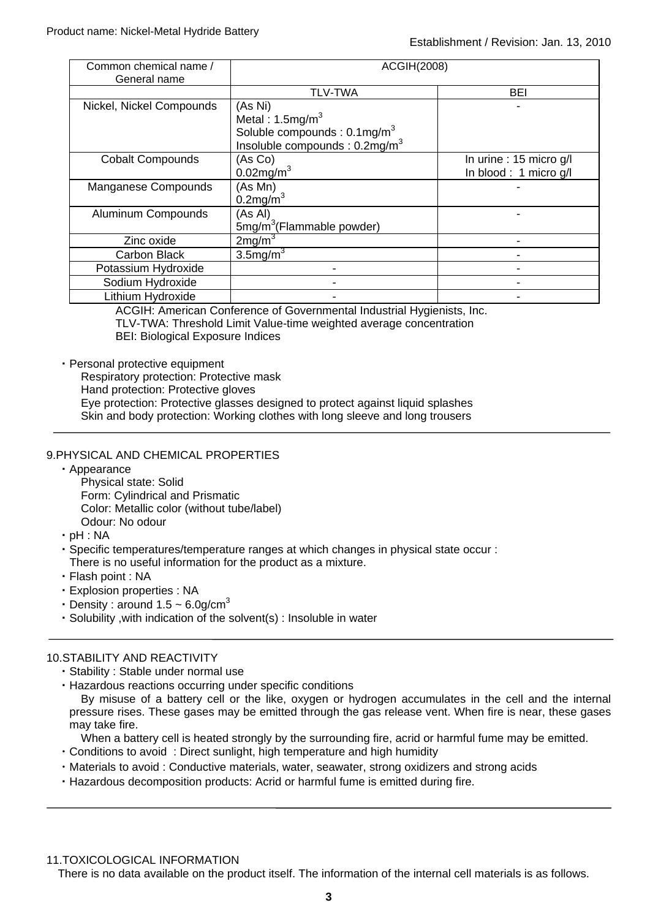| Common chemical name /<br>General name | <b>ACGIH(2008)</b>                                                                                                                  |                                                 |
|----------------------------------------|-------------------------------------------------------------------------------------------------------------------------------------|-------------------------------------------------|
|                                        | <b>TLV-TWA</b>                                                                                                                      | BEI                                             |
| Nickel, Nickel Compounds               | (As Ni)<br>Metal: $1.5$ mg/m <sup>3</sup><br>Soluble compounds : 0.1mg/m <sup>3</sup><br>Insoluble compounds : 0.2mg/m <sup>3</sup> |                                                 |
| <b>Cobalt Compounds</b>                | (As Co)<br>$0.02$ mg/m $3$                                                                                                          | In urine: 15 micro g/l<br>In blood: 1 micro g/l |
| Manganese Compounds                    | (As Mn)<br>$0.2$ mg/m <sup>3</sup>                                                                                                  |                                                 |
| <b>Aluminum Compounds</b>              | (As Al)<br>5mg/m <sup>3</sup> (Flammable powder)                                                                                    |                                                 |
| Zinc oxide                             | 2mg/m <sup>3</sup>                                                                                                                  |                                                 |
| Carbon Black                           | $3.5$ mg/m $3$                                                                                                                      |                                                 |
| Potassium Hydroxide                    |                                                                                                                                     |                                                 |
| Sodium Hydroxide                       |                                                                                                                                     |                                                 |
| Lithium Hydroxide                      |                                                                                                                                     |                                                 |

ACGIH: American Conference of Governmental Industrial Hygienists, Inc. TLV-TWA: Threshold Limit Value-time weighted average concentration BEI: Biological Exposure Indices

・Personal protective equipment

- Respiratory protection: Protective mask
- Hand protection: Protective gloves

Eye protection: Protective glasses designed to protect against liquid splashes

Skin and body protection: Working clothes with long sleeve and long trousers

# 9.PHYSICAL AND CHEMICAL PROPERTIES

・Appearance

Physical state: Solid Form: Cylindrical and Prismatic Color: Metallic color (without tube/label) Odour: No odour

- ・pH : NA
- ・Specific temperatures/temperature ranges at which changes in physical state occur : There is no useful information for the product as a mixture.
- ・Flash point : NA
- ・Explosion properties : NA
- Density : around  $1.5 \sim 6.0$ g/cm<sup>3</sup>
- ・Solubility ,with indication of the solvent(s) : Insoluble in water

# 10.STABILITY AND REACTIVITY

- ・Stability : Stable under normal use
- ・Hazardous reactions occurring under specific conditions

By misuse of a battery cell or the like, oxygen or hydrogen accumulates in the cell and the internal pressure rises. These gases may be emitted through the gas release vent. When fire is near, these gases may take fire.

When a battery cell is heated strongly by the surrounding fire, acrid or harmful fume may be emitted.

- ・Conditions to avoid : Direct sunlight, high temperature and high humidity
- ・Materials to avoid : Conductive materials, water, seawater, strong oxidizers and strong acids
- ・Hazardous decomposition products: Acrid or harmful fume is emitted during fire.

11.TOXICOLOGICAL INFORMATION

There is no data available on the product itself. The information of the internal cell materials is as follows.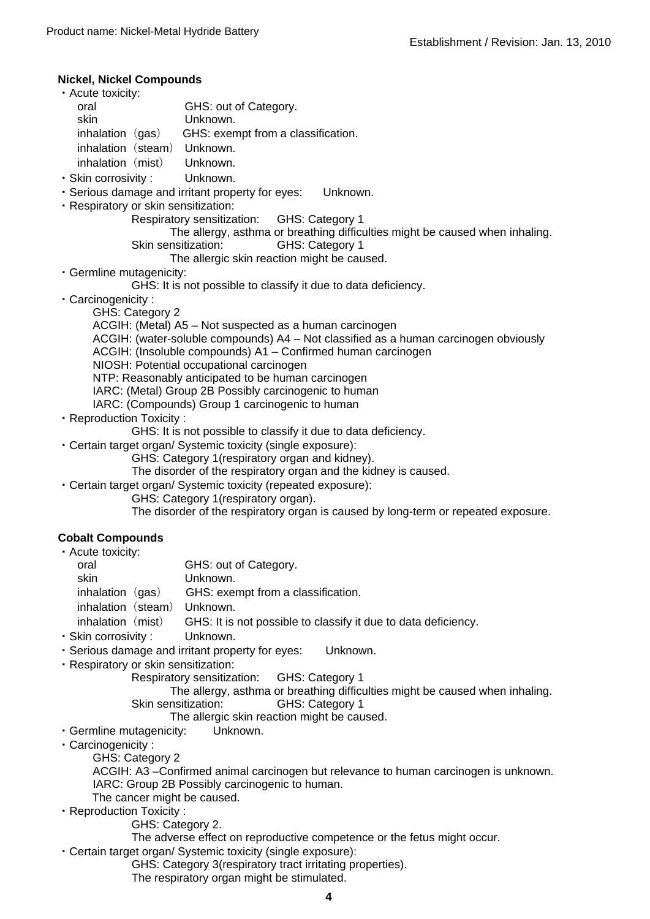#### **Nickel, Nickel Compounds**

- oral skin ・Acute toxicity: GHS: out of Category. Unknown. inhalation  $(qas)$  GHS: exempt from a classification. inhalation (steam) Unknown. inhalation (mist) Unknown.
- ・Skin corrosivity : Unknown.
- ・Serious damage and irritant property for eyes: Unknown.
- ・Respiratory or skin sensitization:
	- Respiratory sensitization: GHS: Category 1
	- Skin sensitization: GHS: Category 1 The allergy, asthma or breathing difficulties might be caused when inhaling.
		- The allergic skin reaction might be caused.
- ・Germline mutagenicity:
	- GHS: It is not possible to classify it due to data deficiency.
- ・Carcinogenicity :
	- GHS: Category 2
		- ACGIH: (Metal) A5 Not suspected as a human carcinogen
		- ACGIH: (water-soluble compounds) A4 Not classified as a human carcinogen obviously
		- ACGIH: (Insoluble compounds) A1 Confirmed human carcinogen
		- NIOSH: Potential occupational carcinogen
		- NTP: Reasonably anticipated to be human carcinogen
		- IARC: (Metal) Group 2B Possibly carcinogenic to human
		- IARC: (Compounds) Group 1 carcinogenic to human
- ・Reproduction Toxicity :
	- GHS: It is not possible to classify it due to data deficiency.
- ・Certain target organ/ Systemic toxicity (single exposure):
	- GHS: Category 1(respiratory organ and kidney).
	- The disorder of the respiratory organ and the kidney is caused.
- ・Certain target organ/ Systemic toxicity (repeated exposure):
	- GHS: Category 1(respiratory organ).

The disorder of the respiratory organ is caused by long-term or repeated exposure.

# **Cobalt Compounds**

| • Acute toxicity:  |                                                                |
|--------------------|----------------------------------------------------------------|
| oral               | GHS: out of Category.                                          |
| skin.              | Unknown.                                                       |
| inhalation $(gas)$ | GHS: exempt from a classification.                             |
| inhalation (steam) | Unknown.                                                       |
| inhalation (mist)  | GHS: It is not possible to classify it due to data deficiency. |
|                    |                                                                |

- ・Skin corrosivity : Unknown.
- ・Serious damage and irritant property for eyes: Unknown.
- ・Respiratory or skin sensitization:
	- Respiratory sensitization: GHS: Category 1
		- The allergy, asthma or breathing difficulties might be caused when inhaling. Skin sensitization: GHS: Category 1
			- The allergic skin reaction might be caused.
- ・Germline mutagenicity: Unknown.
- ・Carcinogenicity :
	- GHS: Category 2
		- ACGIH: A3 –Confirmed animal carcinogen but relevance to human carcinogen is unknown. IARC: Group 2B Possibly carcinogenic to human.
		- The cancer might be caused.
- ・Reproduction Toxicity :
	- GHS: Category 2.
	- The adverse effect on reproductive competence or the fetus might occur.
- ・Certain target organ/ Systemic toxicity (single exposure):
	- GHS: Category 3(respiratory tract irritating properties).
	- The respiratory organ might be stimulated.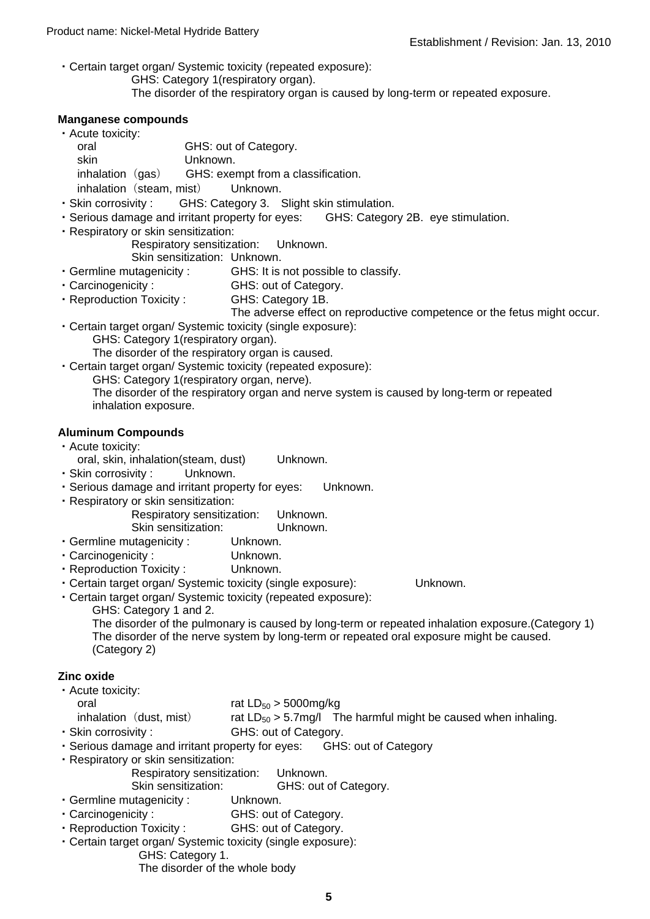・Certain target organ/ Systemic toxicity (repeated exposure): GHS: Category 1(respiratory organ). The disorder of the respiratory organ is caused by long-term or repeated exposure.

## **Manganese compounds**

| • Acute toxicity: |                          |                                    |
|-------------------|--------------------------|------------------------------------|
| oral              |                          | GHS: out of Category.              |
| skin              |                          | Unknown.                           |
| inhalation (gas)  |                          | GHS: exempt from a classification. |
|                   | inhalation (steam, mist) | Unknown.                           |

- ・Skin corrosivity : GHS: Category 3. Slight skin stimulation.
- ・Serious damage and irritant property for eyes: GHS: Category 2B. eye stimulation.
- ・Respiratory or skin sensitization:

Respiratory sensitization: Unknown.

Skin sensitization: Unknown.

- ・Germline mutagenicity : GHS: It is not possible to classify.
- ・Carcinogenicity : GHS: out of Category.
- ・Reproduction Toxicity : GHS: Category 1B.

The adverse effect on reproductive competence or the fetus might occur.

- ・Certain target organ/ Systemic toxicity (single exposure): GHS: Category 1(respiratory organ). The disorder of the respiratory organ is caused.
- ・Certain target organ/ Systemic toxicity (repeated exposure):
	- GHS: Category 1(respiratory organ, nerve).

The disorder of the respiratory organ and nerve system is caused by long-term or repeated inhalation exposure.

# **Aluminum Compounds**

- ・Acute toxicity:
- oral, skin, inhalation(steam, dust) Unknown.
- ・Skin corrosivity : Unknown.
- ・Serious damage and irritant property for eyes: Unknown.
- ・Respiratory or skin sensitization:
	- Respiratory sensitization: Unknown. Skin sensitization: Unknown.
- ・Germline mutagenicity : Unknown.
- ・Carcinogenicity : Unknown.
- ・Reproduction Toxicity : Unknown.
- ・Certain target organ/ Systemic toxicity (single exposure): Unknown.

・Certain target organ/ Systemic toxicity (repeated exposure):

GHS: Category 1 and 2.

The disorder of the pulmonary is caused by long-term or repeated inhalation exposure.(Category 1) The disorder of the nerve system by long-term or repeated oral exposure might be caused. (Category 2)

# **Zinc oxide**

- ・Acute toxicity:
	- oral rat  $LD_{50} > 5000$ mg/kg
- inhalation (dust, mist) rat  $LD_{50} > 5.7$ mg/l The harmful might be caused when inhaling.
- ・Skin corrosivity : GHS: out of Category.
- ・Serious damage and irritant property for eyes: GHS: out of Category
- ・Respiratory or skin sensitization:
	- Respiratory sensitization: Unknown.
	- Skin sensitization: GHS: out of Category.
- ・Germline mutagenicity : Unknown.
- ・Carcinogenicity : GHS: out of Category.
- ・Reproduction Toxicity : GHS: out of Category.
- ・Certain target organ/ Systemic toxicity (single exposure):
	- GHS: Category 1.
		- The disorder of the whole body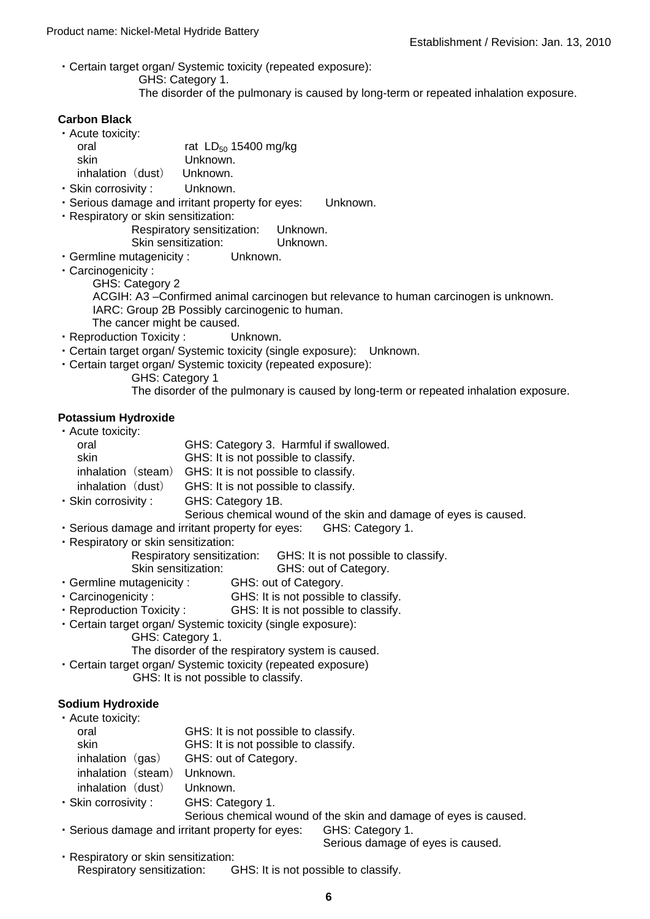- ・Certain target organ/ Systemic toxicity (repeated exposure):
	- GHS: Category 1.
		- The disorder of the pulmonary is caused by long-term or repeated inhalation exposure.

## **Carbon Black**

| • Acute toxicity:   |                           |
|---------------------|---------------------------|
| oral                | rat $LD_{50}$ 15400 mg/kg |
| skin                | Unknown.                  |
| inhalation (dust)   | Unknown.                  |
| · Skin corrosivity: | Unknown.                  |

- ・Serious damage and irritant property for eyes: Unknown.
- ・Respiratory or skin sensitization:
	- Respiratory sensitization: Unknown. Skin sensitization: Unknown.
- ・Germline mutagenicity : Unknown.
- ・Carcinogenicity :
	- GHS: Category 2

ACGIH: A3 –Confirmed animal carcinogen but relevance to human carcinogen is unknown. IARC: Group 2B Possibly carcinogenic to human.

- The cancer might be caused.
- ・Reproduction Toxicity : Unknown.
- ・Certain target organ/ Systemic toxicity (single exposure): Unknown.
- ・Certain target organ/ Systemic toxicity (repeated exposure):
	- GHS: Category 1

The disorder of the pulmonary is caused by long-term or repeated inhalation exposure.

# **Potassium Hydroxide**

| • Acute toxicity:   |                                        |
|---------------------|----------------------------------------|
| oral                | GHS: Category 3. Harmful if swallowed. |
| skin                | GHS: It is not possible to classify.   |
| inhalation (steam)  | GHS: It is not possible to classify.   |
| inhalation (dust)   | GHS: It is not possible to classify.   |
| · Skin corrosivity: | GHS: Category 1B.                      |

Serious chemical wound of the skin and damage of eyes is caused.

- ・Serious damage and irritant property for eyes: GHS: Category 1.
- ・Respiratory or skin sensitization:
	- Respiratory sensitization: GHS: It is not possible to classify.

Skin sensitization: GHS: out of Category.

- ・Germline mutagenicity : GHS: out of Category.
- ・Carcinogenicity : GHS: It is not possible to classify.
- ・Reproduction Toxicity : GHS: It is not possible to classify.
- ・Certain target organ/ Systemic toxicity (single exposure):
	- GHS: Category 1.

The disorder of the respiratory system is caused.

・Certain target organ/ Systemic toxicity (repeated exposure) GHS: It is not possible to classify.

# **Sodium Hydroxide**

| • Acute toxicity:           |                                      |
|-----------------------------|--------------------------------------|
| oral                        | GHS: It is not possible to classify. |
| skin                        | GHS: It is not possible to classify. |
| inhalation (gas)            | GHS: out of Category.                |
| inhalation (steam) Unknown. |                                      |
| inhalation (dust)           | Unknown.                             |
| · Skin corrosivity:         | GHS: Category 1.                     |

Serious chemical wound of the skin and damage of eyes is caused.

・Serious damage and irritant property for eyes: GHS: Category 1.

Serious damage of eyes is caused.

・Respiratory or skin sensitization: Respiratory sensitization: GHS: It is not possible to classify.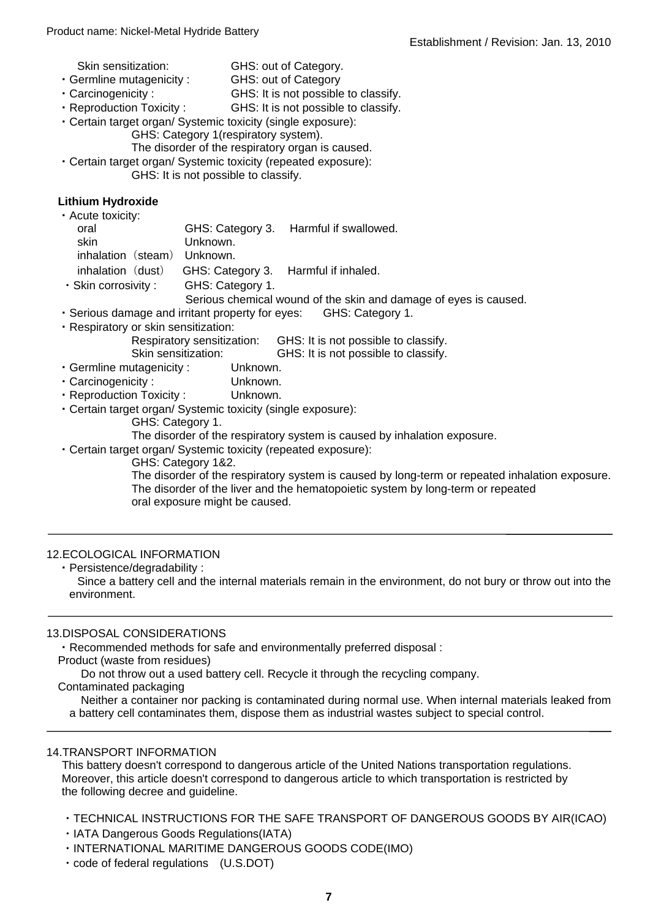- Skin sensitization: GHS: out of Category.
- ・Germline mutagenicity : GHS: out of Category
- ・Carcinogenicity : GHS: It is not possible to classify.
- ・Reproduction Toxicity : GHS: It is not possible to classify.
- ・Certain target organ/ Systemic toxicity (single exposure):
	- GHS: Category 1(respiratory system).

The disorder of the respiratory organ is caused.

・Certain target organ/ Systemic toxicity (repeated exposure):

GHS: It is not possible to classify.

# **Lithium Hydroxide**

・Acute toxicity:

| oral<br>skin                | Unknown.                                               | GHS: Category 3. Harmful if swallowed. |
|-----------------------------|--------------------------------------------------------|----------------------------------------|
|                             |                                                        |                                        |
| inhalation (steam) Unknown. |                                                        |                                        |
|                             | inhalation (dust) GHS: Category 3. Harmful if inhaled. |                                        |
| Skin corrosivity · ·        | GHS: Category 1                                        |                                        |

- ・Skin corrosivity : GHS: Category 1.
	- Serious chemical wound of the skin and damage of eyes is caused.
- ・Serious damage and irritant property for eyes: GHS: Category 1.
- ・Respiratory or skin sensitization:

Respiratory sensitization: GHS: It is not possible to classify.<br>Skin sensitization: GHS: It is not possible to classify.

GHS: It is not possible to classify.

- ・Germline mutagenicity : Unknown.
- ・Carcinogenicity : Unknown.
- ・Reproduction Toxicity : Unknown.
- ・Certain target organ/ Systemic toxicity (single exposure):
	- GHS: Category 1.
	- The disorder of the respiratory system is caused by inhalation exposure.
- ・Certain target organ/ Systemic toxicity (repeated exposure):
	- GHS: Category 1&2.

The disorder of the respiratory system is caused by long-term or repeated inhalation exposure. The disorder of the liver and the hematopoietic system by long-term or repeated oral exposure might be caused.

# 12.ECOLOGICAL INFORMATION

・Persistence/degradability :

Since a battery cell and the internal materials remain in the environment, do not bury or throw out into the environment.

# 13.DISPOSAL CONSIDERATIONS

・Recommended methods for safe and environmentally preferred disposal :

Product (waste from residues)

Do not throw out a used battery cell. Recycle it through the recycling company.

Contaminated packaging

Neither a container nor packing is contaminated during normal use. When internal materials leaked from a battery cell contaminates them, dispose them as industrial wastes subject to special control.

# 14.TRANSPORT INFORMATION

This battery doesn't correspond to dangerous article of the United Nations transportation regulations. Moreover, this article doesn't correspond to dangerous article to which transportation is restricted by the following decree and guideline.

- ・TECHNICAL INSTRUCTIONS FOR THE SAFE TRANSPORT OF DANGEROUS GOODS BY AIR(ICAO)
- ・IATA Dangerous Goods Regulations(IATA)
- ・INTERNATIONAL MARITIME DANGEROUS GOODS CODE(IMO)
- ・code of federal regulations (U.S.DOT)